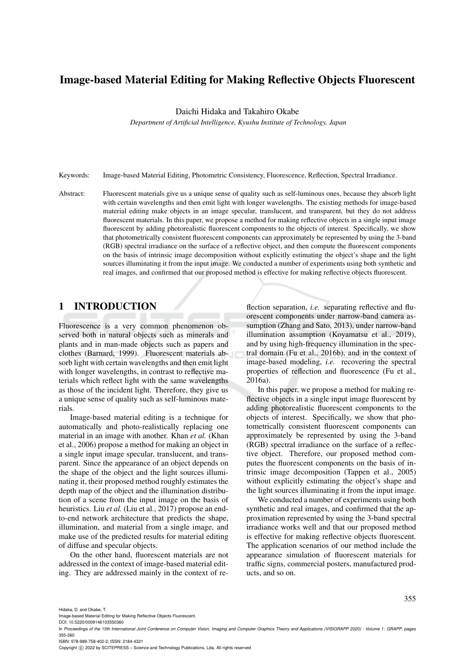# Image-based Material Editing for Making Reflective Objects Fluorescent

Daichi Hidaka and Takahiro Okabe

*Department of Artificial Intelligence, Kyushu Institute of Technology, Japan*

Keywords: Image-based Material Editing, Photometric Consistency, Fluorescence, Reflection, Spectral Irradiance.

Abstract: Fluorescent materials give us a unique sense of quality such as self-luminous ones, because they absorb light with certain wavelengths and then emit light with longer wavelengths. The existing methods for image-based material editing make objects in an image specular, translucent, and transparent, but they do not address fluorescent materials. In this paper, we propose a method for making reflective objects in a single input image fluorescent by adding photorealistic fluorescent components to the objects of interest. Specifically, we show that photometrically consistent fluorescent components can approximately be represented by using the 3-band (RGB) spectral irradiance on the surface of a reflective object, and then compute the fluorescent components on the basis of intrinsic image decomposition without explicitly estimating the object's shape and the light sources illuminating it from the input image. We conducted a number of experiments using both synthetic and real images, and confirmed that our proposed method is effective for making reflective objects fluorescent.

# 1 INTRODUCTION

Fluorescence is a very common phenomenon observed both in natural objects such as minerals and plants and in man-made objects such as papers and clothes (Barnard, 1999). Fluorescent materials absorb light with certain wavelengths and then emit light with longer wavelengths, in contrast to reflective materials which reflect light with the same wavelengths as those of the incident light. Therefore, they give us a unique sense of quality such as self-luminous materials.

Image-based material editing is a technique for automatically and photo-realistically replacing one material in an image with another. Khan *et al.* (Khan et al., 2006) propose a method for making an object in a single input image specular, translucent, and transparent. Since the appearance of an object depends on the shape of the object and the light sources illuminating it, their proposed method roughly estimates the depth map of the object and the illumination distribution of a scene from the input image on the basis of heuristics. Liu *et al.* (Liu et al., 2017) propose an endto-end network architecture that predicts the shape, illumination, and material from a single image, and make use of the predicted results for material editing of diffuse and specular objects.

On the other hand, fluorescent materials are not addressed in the context of image-based material editing. They are addressed mainly in the context of re-

flection separation, *i.e.* separating reflective and fluorescent components under narrow-band camera assumption (Zhang and Sato, 2013), under narrow-band illumination assumption (Koyamatsu et al., 2019), and by using high-frequency illumination in the spectral domain (Fu et al., 2016b), and in the context of image-based modeling, *i.e.* recovering the spectral properties of reflection and fluorescence (Fu et al., 2016a).

In this paper, we propose a method for making reflective objects in a single input image fluorescent by adding photorealistic fluorescent components to the objects of interest. Specifically, we show that photometrically consistent fluorescent components can approximately be represented by using the 3-band (RGB) spectral irradiance on the surface of a reflective object. Therefore, our proposed method computes the fluorescent components on the basis of intrinsic image decomposition (Tappen et al., 2005) without explicitly estimating the object's shape and the light sources illuminating it from the input image.

We conducted a number of experiments using both synthetic and real images, and confirmed that the approximation represented by using the 3-band spectral irradiance works well and that our proposed method is effective for making reflective objects fluorescent. The application scenarios of our method include the appearance simulation of fluorescent materials for traffic signs, commercial posters, manufactured products, and so on.

Hidaka, D. and Okabe, T.

Image-based Material Editing for Making Reflective Objects Fluorescent.

DOI: 10.5220/0009146103550360

ISBN: 978-989-758-402-2; ISSN: 2184-4321

Copyright © 2022 by SCITEPRESS - Science and Technology Publications, Lda. All rights reserved

In *Proceedings of the 15th International Joint Conference on Computer Vision, Imaging and Computer Graphics Theory and Applications (VISIGRAPP 2020) - Volume 1: GRAPP*, pages 355-360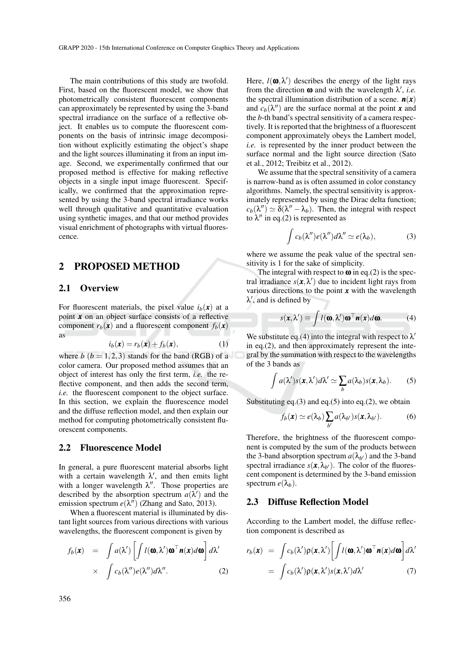The main contributions of this study are twofold. First, based on the fluorescent model, we show that photometrically consistent fluorescent components can approximately be represented by using the 3-band spectral irradiance on the surface of a reflective object. It enables us to compute the fluorescent components on the basis of intrinsic image decomposition without explicitly estimating the object's shape and the light sources illuminating it from an input image. Second, we experimentally confirmed that our proposed method is effective for making reflective objects in a single input image fluorescent. Specifically, we confirmed that the approximation represented by using the 3-band spectral irradiance works well through qualitative and quantitative evaluation using synthetic images, and that our method provides visual enrichment of photographs with virtual fluorescence.

### 2 PROPOSED METHOD

### 2.1 Overview

For fluorescent materials, the pixel value  $i_b(\mathbf{x})$  at a point *x* on an object surface consists of a reflective component  $r_b(\mathbf{x})$  and a fluorescent component  $f_b(\mathbf{x})$ as

$$
i_b(\mathbf{x}) = r_b(\mathbf{x}) + f_b(\mathbf{x}), \tag{1}
$$

where  $b$   $(b = 1, 2, 3)$  stands for the band (RGB) of a color camera. Our proposed method assumes that an object of interest has only the first term, *i.e.* the reflective component, and then adds the second term, *i.e.* the fluorescent component to the object surface. In this section, we explain the fluorescence model and the diffuse reflection model, and then explain our method for computing photometrically consistent fluorescent components.

#### 2.2 Fluorescence Model

In general, a pure fluorescent material absorbs light with a certain wavelength  $\lambda'$ , and then emits light with a longer wavelength  $\lambda''$ . Those properties are described by the absorption spectrum  $a(\lambda')$  and the emission spectrum  $e(\lambda'')$  (Zhang and Sato, 2013).

When a fluorescent material is illuminated by distant light sources from various directions with various wavelengths, the fluorescent component is given by

$$
f_b(\mathbf{x}) = \int a(\lambda') \left[ \int l(\mathbf{\omega}, \lambda') \mathbf{\omega}^\top \mathbf{n}(\mathbf{x}) d\mathbf{\omega} \right] d\lambda' \times \int c_b(\lambda'') e(\lambda'') d\lambda''.
$$
 (2)

Here,  $l(\mathbf{0}, \lambda')$  describes the energy of the light rays from the direction  $\omega$  and with the wavelength  $\lambda'$ , *i.e.* the spectral illumination distribution of a scene.  $n(x)$ and  $c_b(\lambda'')$  are the surface normal at the point *x* and the *b*-th band's spectral sensitivity of a camera respectively. It is reported that the brightness of a fluorescent component approximately obeys the Lambert model, *i.e.* is represented by the inner product between the surface normal and the light source direction (Sato et al., 2012; Treibitz et al., 2012).

We assume that the spectral sensitivity of a camera is narrow-band as is often assumed in color constancy algorithms. Namely, the spectral sensitivity is approximately represented by using the Dirac delta function;  $c_b(\lambda'') \simeq \overline{\delta}(\lambda'' - \lambda_b)$ . Then, the integral with respect to  $\lambda''$  in eq.(2) is represented as

$$
\int c_b(\lambda'')e(\lambda'')d\lambda'' \simeq e(\lambda_b), \qquad (3)
$$

where we assume the peak value of the spectral sensitivity is 1 for the sake of simplicity.

The integral with respect to  $\omega$  in eq.(2) is the spectral irradiance  $s(\mathbf{x}, \lambda')$  due to incident light rays from various directions to the point  $x$  with the wavelength  $\lambda'$ , and is defined by

$$
s(\mathbf{x}, \lambda') \equiv \int l(\mathbf{\omega}, \lambda') \mathbf{\omega}^\top \mathbf{n}(\mathbf{x}) d\mathbf{\omega}.
$$
 (4)

We substitute eq.(4) into the integral with respect to  $\lambda'$ in eq.(2), and then approximately represent the integral by the summation with respect to the wavelengths of the 3 bands as

$$
\int a(\lambda')s(\mathbf{x},\lambda')d\lambda' \simeq \sum_b a(\lambda_b)s(\mathbf{x},\lambda_b). \tag{5}
$$

Substituting eq.(3) and eq.(5) into eq.(2), we obtain

$$
f_b(\mathbf{x}) \simeq e(\lambda_b) \sum_{b'} a(\lambda_{b'}) s(\mathbf{x}, \lambda_{b'}).
$$
 (6)

Therefore, the brightness of the fluorescent component is computed by the sum of the products between the 3-band absorption spectrum  $a(\lambda_{b'})$  and the 3-band spectral irradiance  $s(\mathbf{x}, \lambda_{b})$ . The color of the fluorescent component is determined by the 3-band emission spectrum  $e(\lambda_h)$ .

### 2.3 Diffuse Reflection Model

According to the Lambert model, the diffuse reflection component is described as

$$
r_b(\mathbf{x}) = \int c_b(\lambda') \rho(\mathbf{x}, \lambda') \left[ \int l(\mathbf{\omega}, \lambda') \mathbf{\omega}^\top \mathbf{n}(\mathbf{x}) d\mathbf{\omega} \right] d\lambda'
$$
  
= 
$$
\int c_b(\lambda') \rho(\mathbf{x}, \lambda') s(\mathbf{x}, \lambda') d\lambda' \qquad (7)
$$

356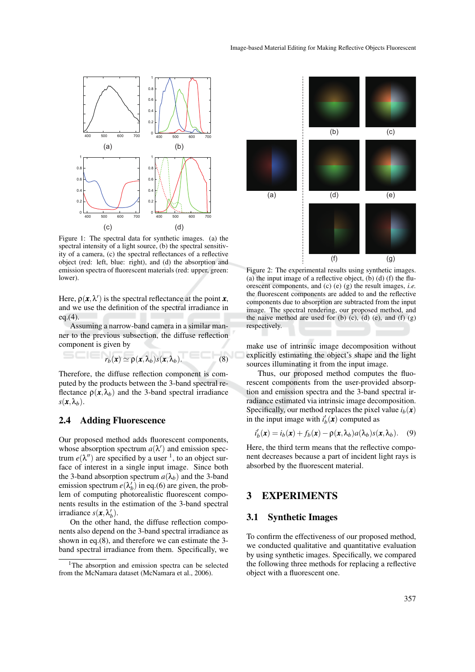

Figure 1: The spectral data for synthetic images. (a) the spectral intensity of a light source, (b) the spectral sensitivity of a camera, (c) the spectral reflectances of a reflective object (red: left, blue: right), and (d) the absorption and emission spectra of fluorescent materials (red: upper, green: lower).

Here,  $\rho(\mathbf{x}, \lambda')$  is the spectral reflectance at the point  $\mathbf{x}$ , and we use the definition of the spectral irradiance in  $eq.(4)$ .

Assuming a narrow-band camera in a similar manner to the previous subsection, the diffuse reflection component is given by

$$
r_b(\mathbf{x}) \simeq \rho(\mathbf{x}, \lambda_b) s(\mathbf{x}, \lambda_b). \tag{8}
$$

Therefore, the diffuse reflection component is computed by the products between the 3-band spectral reflectance  $\rho(x, \lambda_b)$  and the 3-band spectral irradiance  $s(\mathbf{x}, \lambda_b)$ .

#### 2.4 Adding Fluorescence

Our proposed method adds fluorescent components, whose absorption spectrum  $a(\lambda')$  and emission spectrum  $e(\lambda'')$  are specified by a user <sup>1</sup>, to an object surface of interest in a single input image. Since both the 3-band absorption spectrum  $a(\lambda_b)$  and the 3-band emission spectrum  $e(\lambda_b)$  in eq.(6) are given, the problem of computing photorealistic fluorescent components results in the estimation of the 3-band spectral irradiance  $s(\mathbf{x}, \lambda_b)$ .

On the other hand, the diffuse reflection components also depend on the 3-band spectral irradiance as shown in eq.(8), and therefore we can estimate the 3 band spectral irradiance from them. Specifically, we



Figure 2: The experimental results using synthetic images. (a) the input image of a reflective object, (b) (d) (f) the fluorescent components, and (c) (e) (g) the result images, *i.e.* the fluorescent components are added to and the reflective components due to absorption are subtracted from the input image. The spectral rendering, our proposed method, and the naive method are used for  $(b)$   $(c)$ ,  $(d)$   $(e)$ , and  $(f)$   $(g)$ respectively.

make use of intrinsic image decomposition without explicitly estimating the object's shape and the light sources illuminating it from the input image.

Thus, our proposed method computes the fluorescent components from the user-provided absorption and emission spectra and the 3-band spectral irradiance estimated via intrinsic image decomposition. Specifically, our method replaces the pixel value  $i_b(\mathbf{x})$ in the input image with  $i'_b(\mathbf{x})$  computed as

$$
i'_b(\mathbf{x}) = i_b(\mathbf{x}) + f_b(\mathbf{x}) - \rho(\mathbf{x}, \lambda_b) a(\lambda_b) s(\mathbf{x}, \lambda_b).
$$
 (9)

Here, the third term means that the reflective component decreases because a part of incident light rays is absorbed by the fluorescent material.

# 3 EXPERIMENTS

### 3.1 Synthetic Images

To confirm the effectiveness of our proposed method, we conducted qualitative and quantitative evaluation by using synthetic images. Specifically, we compared the following three methods for replacing a reflective object with a fluorescent one.

<sup>&</sup>lt;sup>1</sup>The absorption and emission spectra can be selected from the McNamara dataset (McNamara et al., 2006).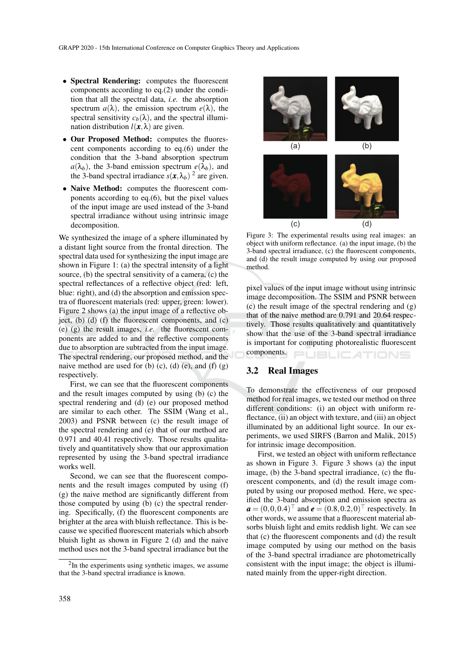- Spectral Rendering: computes the fluorescent components according to eq.(2) under the condition that all the spectral data, *i.e.* the absorption spectrum  $a(\lambda)$ , the emission spectrum  $e(\lambda)$ , the spectral sensitivity  $c_b(\lambda)$ , and the spectral illumination distribution  $l(\mathbf{x}, \lambda)$  are given.
- Our Proposed Method: computes the fluorescent components according to eq.(6) under the condition that the 3-band absorption spectrum  $a(\lambda_b)$ , the 3-band emission spectrum  $e(\lambda_b)$ , and the 3-band spectral irradiance  $s(\mathbf{x}, \lambda_b)$ <sup>2</sup> are given.
- Naive Method: computes the fluorescent components according to eq.(6), but the pixel values of the input image are used instead of the 3-band spectral irradiance without using intrinsic image decomposition.

We synthesized the image of a sphere illuminated by a distant light source from the frontal direction. The spectral data used for synthesizing the input image are shown in Figure 1: (a) the spectral intensity of a light source, (b) the spectral sensitivity of a camera, (c) the spectral reflectances of a reflective object (red: left, blue: right), and (d) the absorption and emission spectra of fluorescent materials (red: upper, green: lower). Figure 2 shows (a) the input image of a reflective object, (b) (d) (f) the fluorescent components, and  $(c)$ (e) (g) the result images, *i.e.* the fluorescent components are added to and the reflective components due to absorption are subtracted from the input image. The spectral rendering, our proposed method, and the naive method are used for  $(b)$   $(c)$ ,  $(d)$   $(e)$ , and  $(f)$   $(g)$ respectively.

First, we can see that the fluorescent components and the result images computed by using (b) (c) the spectral rendering and (d) (e) our proposed method are similar to each other. The SSIM (Wang et al., 2003) and PSNR between (c) the result image of the spectral rendering and (e) that of our method are 0.971 and 40.41 respectively. Those results qualitatively and quantitatively show that our approximation represented by using the 3-band spectral irradiance works well.

Second, we can see that the fluorescent components and the result images computed by using (f) (g) the naive method are significantly different from those computed by using (b) (c) the spectral rendering. Specifically, (f) the fluorescent components are brighter at the area with bluish reflectance. This is because we specified fluorescent materials which absorb bluish light as shown in Figure 2 (d) and the naive method uses not the 3-band spectral irradiance but the



Figure 3: The experimental results using real images: an object with uniform reflectance. (a) the input image, (b) the 3-band spectral irradiance, (c) the fluorescent components, and (d) the result image computed by using our proposed method.

pixel values of the input image without using intrinsic image decomposition. The SSIM and PSNR between (c) the result image of the spectral rendering and (g) that of the naive method are 0.791 and 20.64 respectively. Those results qualitatively and quantitatively show that the use of the 3-band spectral irradiance is important for computing photorealistic fluorescent components. **JBLICATIONS** 

### 3.2 Real Images

To demonstrate the effectiveness of our proposed method for real images, we tested our method on three different conditions: (i) an object with uniform reflectance, (ii) an object with texture, and (iii) an object illuminated by an additional light source. In our experiments, we used SIRFS (Barron and Malik, 2015) for intrinsic image decomposition.

First, we tested an object with uniform reflectance as shown in Figure 3. Figure 3 shows (a) the input image, (b) the 3-band spectral irradiance, (c) the fluorescent components, and (d) the result image computed by using our proposed method. Here, we specified the 3-band absorption and emission spectra as  $a = (0, 0, 0.4)^{\top}$  and  $e = (0.8, 0.2, 0)^{\top}$  respectively. In other words, we assume that a fluorescent material absorbs bluish light and emits reddish light. We can see that (c) the fluorescent components and (d) the result image computed by using our method on the basis of the 3-band spectral irradiance are photometrically consistent with the input image; the object is illuminated mainly from the upper-right direction.

<sup>&</sup>lt;sup>2</sup>In the experiments using synthetic images, we assume that the 3-band spectral irradiance is known.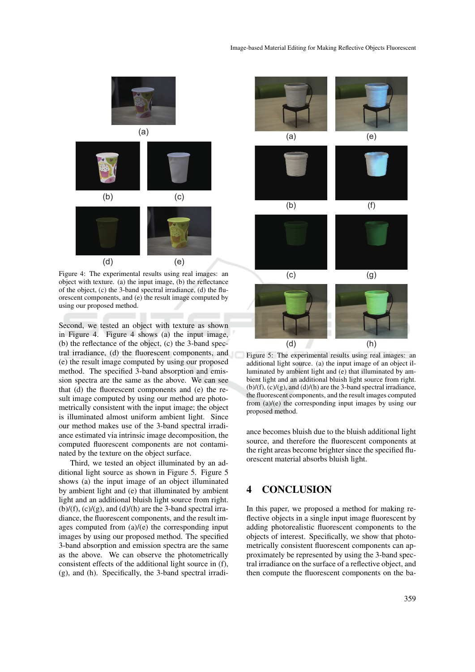

Figure 4: The experimental results using real images: an object with texture. (a) the input image, (b) the reflectance of the object, (c) the 3-band spectral irradiance, (d) the fluorescent components, and (e) the result image computed by using our proposed method.

Second, we tested an object with texture as shown in Figure 4. Figure 4 shows (a) the input image, (b) the reflectance of the object, (c) the 3-band spectral irradiance, (d) the fluorescent components, and (e) the result image computed by using our proposed method. The specified 3-band absorption and emission spectra are the same as the above. We can see that (d) the fluorescent components and (e) the result image computed by using our method are photometrically consistent with the input image; the object is illuminated almost uniform ambient light. Since our method makes use of the 3-band spectral irradiance estimated via intrinsic image decomposition, the computed fluorescent components are not contaminated by the texture on the object surface.

Third, we tested an object illuminated by an additional light source as shown in Figure 5. Figure 5 shows (a) the input image of an object illuminated by ambient light and (e) that illuminated by ambient light and an additional bluish light source from right.  $(b)/(f)$ ,  $(c)/(g)$ , and  $(d)/(h)$  are the 3-band spectral irradiance, the fluorescent components, and the result images computed from (a)/(e) the corresponding input images by using our proposed method. The specified 3-band absorption and emission spectra are the same as the above. We can observe the photometrically consistent effects of the additional light source in (f), (g), and (h). Specifically, the 3-band spectral irradi-



Figure 5: The experimental results using real images: an additional light source. (a) the input image of an object illuminated by ambient light and (e) that illuminated by ambient light and an additional bluish light source from right.  $(b)/(f)$ ,  $(c)/(g)$ , and  $(d)/(h)$  are the 3-band spectral irradiance, the fluorescent components, and the result images computed from (a)/(e) the corresponding input images by using our proposed method.

ance becomes bluish due to the bluish additional light source, and therefore the fluorescent components at the right areas become brighter since the specified fluorescent material absorbs bluish light.

# 4 CONCLUSION

In this paper, we proposed a method for making reflective objects in a single input image fluorescent by adding photorealistic fluorescent components to the objects of interest. Specifically, we show that photometrically consistent fluorescent components can approximately be represented by using the 3-band spectral irradiance on the surface of a reflective object, and then compute the fluorescent components on the ba